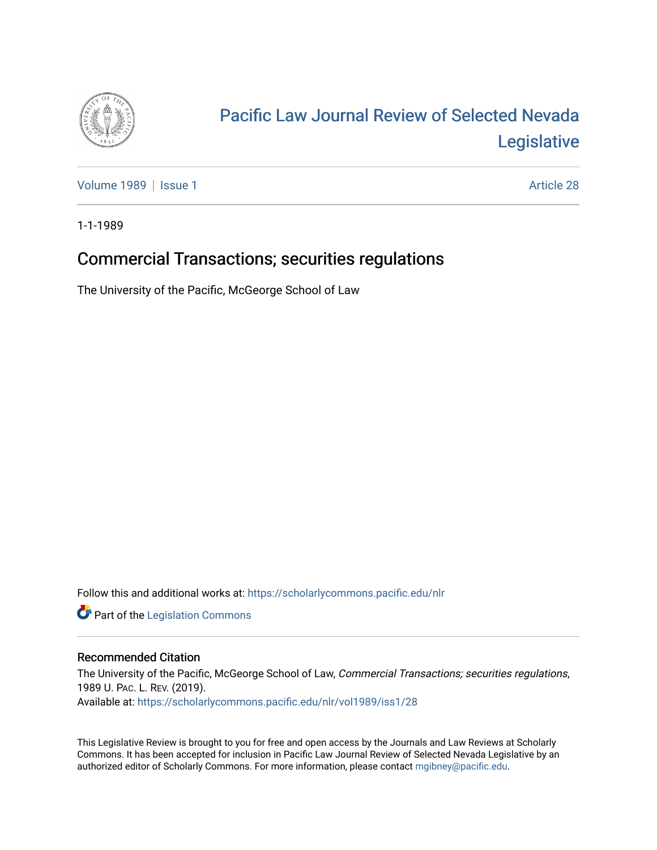

## [Pacific Law Journal Review of Selected Nevada](https://scholarlycommons.pacific.edu/nlr)  [Legislative](https://scholarlycommons.pacific.edu/nlr)

[Volume 1989](https://scholarlycommons.pacific.edu/nlr/vol1989) | [Issue 1](https://scholarlycommons.pacific.edu/nlr/vol1989/iss1) Article 28

1-1-1989

## Commercial Transactions; securities regulations

The University of the Pacific, McGeorge School of Law

Follow this and additional works at: [https://scholarlycommons.pacific.edu/nlr](https://scholarlycommons.pacific.edu/nlr?utm_source=scholarlycommons.pacific.edu%2Fnlr%2Fvol1989%2Fiss1%2F28&utm_medium=PDF&utm_campaign=PDFCoverPages) 

**Part of the [Legislation Commons](http://network.bepress.com/hgg/discipline/859?utm_source=scholarlycommons.pacific.edu%2Fnlr%2Fvol1989%2Fiss1%2F28&utm_medium=PDF&utm_campaign=PDFCoverPages)** 

## Recommended Citation

The University of the Pacific, McGeorge School of Law, Commercial Transactions; securities regulations, 1989 U. PAC. L. REV. (2019). Available at: [https://scholarlycommons.pacific.edu/nlr/vol1989/iss1/28](https://scholarlycommons.pacific.edu/nlr/vol1989/iss1/28?utm_source=scholarlycommons.pacific.edu%2Fnlr%2Fvol1989%2Fiss1%2F28&utm_medium=PDF&utm_campaign=PDFCoverPages)

This Legislative Review is brought to you for free and open access by the Journals and Law Reviews at Scholarly Commons. It has been accepted for inclusion in Pacific Law Journal Review of Selected Nevada Legislative by an authorized editor of Scholarly Commons. For more information, please contact [mgibney@pacific.edu](mailto:mgibney@pacific.edu).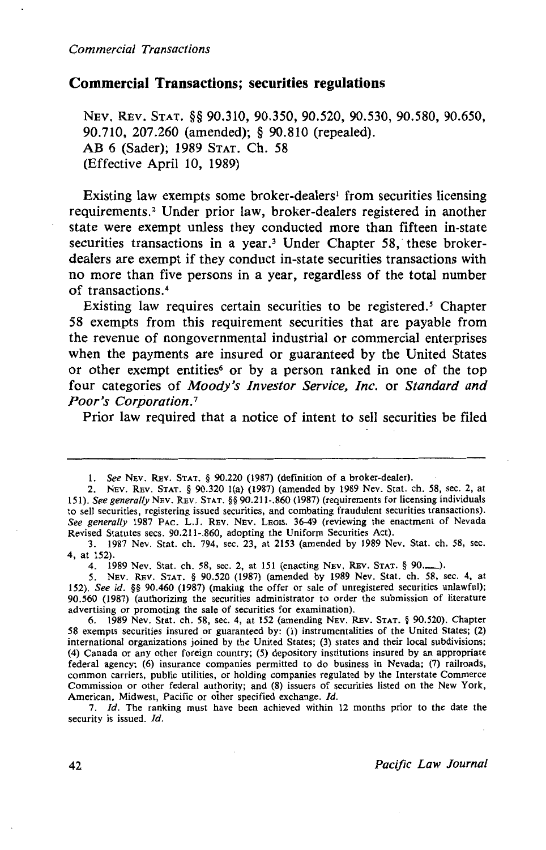## **Commercial Transactions; securities regulations**

NEV. REV. STAT. §§ 90.310, 90.350, 90.520, 90.530, 90.580, 90.650, 90.710, 207.260 (amended); § 90.810 (repealed). AB 6 (Sader); 1989 STAT. Ch. 58 (Effective April 10, 1989)

Existing law exempts some broker-dealers<sup>1</sup> from securities licensing requirements.<sup>2</sup> Under prior law, broker-dealers registered in another state were exempt unless they conducted more than fifteen in-state securities transactions in a year.<sup>3</sup> Under Chapter 58, these brokerdealers are exempt if they conduct in-state securities transactions with no more than five persons in a year, regardless of the total number of transactions. <sup>4</sup>

Existing law requires certain securities to be registered. *5* Chapter 58 exempts from this requirement securities that are payable from the revenue of nongovernmental industrial or commercial enterprises when the payments are insured or guaranteed by the United States or other exempt entities<sup>6</sup> or by a person ranked in one of the top four categories of *Moody's Investor Service, Inc.* or *Standard and Poor's Corporation.* <sup>7</sup>

Prior law required that a notice of intent to sell securities be filed

2. NEV. REv. STAT. § 90.320 1(a) (1987) (amended by 1989 Nev. Stat. ch. 58, sec. 2, at 151). *See generally* NEv. REv. STAT.§§ 90.211-.860 (1987) (requirements for licensing individuals to sell securities, registering issued securities, and combating fraudulent securities transactions). *See generally* 1987 PAC. L.J. REV. NEv. LEGIS. 36-49 (reviewing the enactment of Nevada Revised Statutes sees. 90.211-.860, adopting the Uniform Securities Act).

3. 1987 Nev. Stat. ch. 794, sec. 23, at 2153 (amended by 1989 Nev. Stat. ch. 58, sec. 4, at 152).

4. 1989 Nev. Stat. ch. 58, sec. 2, at 151 (enacting Nev. Rev. STAT. § 90...........).

*5.* NEV. REv. STAT. § 90.520 (1987) (amended by 1989 Nev. Stat. ch. 58, sec. 4, at 152). *See id.* §§ 90.460 (1987) (making the offer or sale of unregistered securities unlawful); 90.560 (1987) (authorizing the securities administrator to order the submission of literature advertising or promoting the sale of securities for examination).

6. 1989 Nev. Stat. ch. 58, sec. 4, at 152 (amending NEv. REv. STAT. § 90.520). Chapter 58 exempts securities insured or guaranteed by: (1) instrumentalities of the United States; (2) international organizations joined by the United States; (3) states and their local subdivisions; (4) Canada or any other foreign country; (5) depository institutions insured by an appropriate federal agency; (6) insurance companies permitted to do business in Nevada; (7) railroads, common carriers, public utilities, or holding companies regulated by the Interstate Commerce Commission or other federal authority; and (8) issuers of securities listed on the New York, American, Midwest, Pacific or other specified exchange. Id.

7. *!d.* The ranking must have been achieved within 12 months prior to the date the security is issued. Id.

l. *See* NEv. REv. STAT. § 90.220 (1987) (definition of a broker-dealer).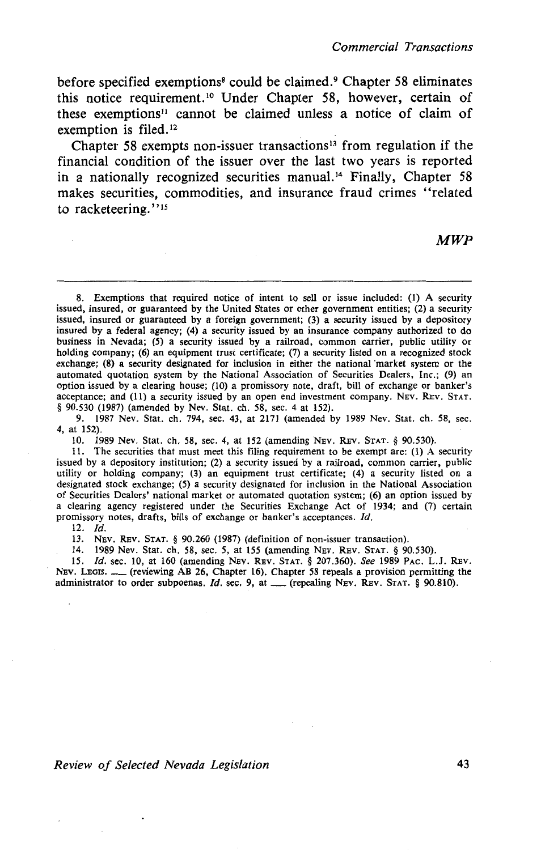before specified exemptions<sup>8</sup> could be claimed.<sup>9</sup> Chapter 58 eliminates this notice requirement. 10 Under Chapter 58, however, certain of these exemptions" cannot be claimed unless a notice of claim of exemption is filed.<sup>12</sup>

Chapter 58 exempts non-issuer transactions<sup>13</sup> from regulation if the financial condition of the issuer over the last two years is reported in a nationally recognized securities manual.'4 Finally, Chapter 58 makes securities, commodities, and insurance fraud crimes "related to racketeering."<sup>15</sup>

*MWP* 

8. Exemptions that required notice of intent to sell or issue included: (1) A security issued, insured, or guaranteed by the United States or other government entities; (2) a security issued, insured or guaranteed by a foreign government; (3) a security issued by a depository insured by a federal agency; (4) a security issued by an insurance company authorized to do business in Nevada; (5) a security issued by a railroad, common carrier, public utility or holding company; (6) an equipment trust certificate; (7) a security listed on a recognized stock exchange; (8) a security designated for inclusion in either the national market system or the automated quotation system by the National Association of Securities Dealers, Inc.; (9) an option issued by a clearing house; (10) a promissory note, draft, bill of exchange or banker's acceptance; and (11) a security issued by an open end investment company. NEv. REv. STAT. § 90.530 (1987) (amended by Nev. Stat. ch. 58, sec. 4 at 152).

9. 1987 Nev. Stat. ch. 794, sec. 43, at 2171 (amended by 1989 Nev. Stat. ch. 58, sec. 4, at 152).

10. 1989 Nev. Stat. ch. 58, sec. 4, at 152 (amending NEv. REv. STAT. § 90.530).

11. The securities that must meet this filing requirement to be exempt are: (1) A security issued by a depository institution; (2) a security issued by a railroad, common carrier, public utility or holding company; (3) an equipment trust certificate; (4) a security listed on a designated stock exchange; (5) a security designated for inclusion in the National Association of Securities Dealers' national market or automated quotation system; (6) an option issued by a clearing agency registered under the Securities Exchange Act of 1934; and (7) certain promissory notes, drafts, bills of exchange or banker's acceptances. *Id.* 

12. *Id.* 

13. NEv. REv. STAT. § 90.260 (1987) (definition of non-issuer transaction).

14. 1989 Nev. Stat. ch. 58, sec. *5,* at 155 (amending NEv. REV. STAT. § 90.530).

15. *Id.* sec. 10, at 160 (amending Nev. Rev. STAT. § 207.360). See 1989 PAC. L.J. Rev. NEV. LEGIS. \_\_ (reviewing AB 26, Chapter 16). Chapter 58 repeals a provision permitting the administrator to order subpoenas. *Id.* sec. 9, at \_\_(repealing NEV. REV. STAT. § 90.810).

*Review of Selected Nevada Legislation* 43